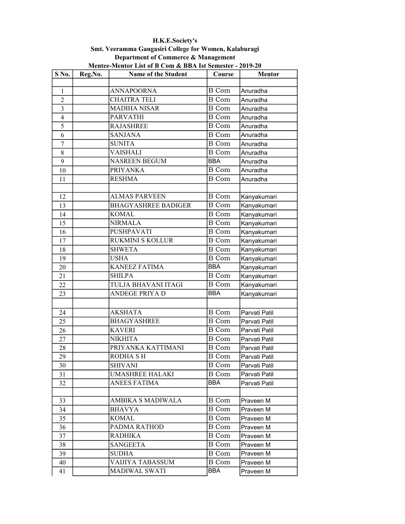| Mentee-Mentor List of B Com & BBA Ist Semester - 2019-20 |         |                            |               |               |  |  |  |
|----------------------------------------------------------|---------|----------------------------|---------------|---------------|--|--|--|
| S No.                                                    | Reg.No. | <b>Name of the Student</b> | Course        | <b>Mentor</b> |  |  |  |
|                                                          |         |                            |               |               |  |  |  |
| 1                                                        |         | <b>ANNAPOORNA</b>          | <b>B</b> Com  | Anuradha      |  |  |  |
| $\overline{c}$                                           |         | <b>CHAITRA TELI</b>        | $\bar{B}$ Com | Anuradha      |  |  |  |
| 3                                                        |         | <b>MADIHA NISAR</b>        | <b>B</b> Com  | Anuradha      |  |  |  |
| $\overline{4}$                                           |         | <b>PARVATHI</b>            | <b>B</b> Com  | Anuradha      |  |  |  |
| 5                                                        |         | <b>RAJASHREE</b>           | B Com         | Anuradha      |  |  |  |
| 6                                                        |         | <b>SANJANA</b>             | <b>B</b> Com  | Anuradha      |  |  |  |
| $\overline{7}$                                           |         | <b>SUNITA</b>              | <b>B</b> Com  | Anuradha      |  |  |  |
| 8                                                        |         | <b>VAISHALI</b>            | <b>B</b> Com  | Anuradha      |  |  |  |
| 9                                                        |         | <b>NASREEN BEGUM</b>       | <b>BBA</b>    | Anuradha      |  |  |  |
| 10                                                       |         | <b>PRIYANKA</b>            | <b>B</b> Com  | Anuradha      |  |  |  |
| 11                                                       |         | <b>RESHMA</b>              | <b>B</b> Com  | Anuradha      |  |  |  |
|                                                          |         |                            |               |               |  |  |  |
| 12                                                       |         | <b>ALMAS PARVEEN</b>       | <b>B</b> Com  | Kanyakumari   |  |  |  |
| 13                                                       |         | <b>BHAGYASHREE BADIGER</b> | <b>B</b> Com  | Kanyakumari   |  |  |  |
| 14                                                       |         | <b>KOMAL</b>               | B Com         | Kanyakumari   |  |  |  |
| 15                                                       |         | <b>NIRMALA</b>             | <b>B</b> Com  | Kanyakumari   |  |  |  |
| 16                                                       |         | PUSHPAVATI                 | <b>B</b> Com  | Kanyakumari   |  |  |  |
| 17                                                       |         | RUKMINI S KOLLUR           | <b>B</b> Com  | Kanyakumari   |  |  |  |
| 18                                                       |         | <b>SHWETA</b>              | <b>B</b> Com  | Kanyakumari   |  |  |  |
| 19                                                       |         | <b>USHA</b>                | <b>B</b> Com  | Kanyakumari   |  |  |  |
| 20                                                       |         | <b>KANEEZ FATIMA</b>       | <b>BBA</b>    | Kanyakumari   |  |  |  |
| 21                                                       |         | <b>SHILPA</b>              | <b>B</b> Com  | Kanyakumari   |  |  |  |
| 22                                                       |         | TULJA BHAVANI ITAGI        | <b>B</b> Com  | Kanyakumari   |  |  |  |
| 23                                                       |         | <b>ANDEGE PRIYA D</b>      | <b>BBA</b>    | Kanyakumari   |  |  |  |
|                                                          |         |                            |               |               |  |  |  |
| 24                                                       |         | <b>AKSHATA</b>             | <b>B</b> Com  | Parvati Patil |  |  |  |
| 25                                                       |         | <b>BHAGYASHREE</b>         | <b>B</b> Com  | Parvati Patil |  |  |  |
| 26                                                       |         | <b>KAVERI</b>              | <b>B</b> Com  | Parvati Patil |  |  |  |
| 27                                                       |         | <b>NIKHITA</b>             | <b>B</b> Com  | Parvati Patil |  |  |  |
| 28                                                       |         | PRIYANKA KATTIMANI         | <b>B</b> Com  | Parvati Patil |  |  |  |
| 29                                                       |         | <b>RODHA SH</b>            | <b>B</b> Com  | Parvati Patil |  |  |  |
| 30                                                       |         | <b>SHIVANI</b>             | B Com         | Parvati Patil |  |  |  |
| 31                                                       |         | <b>UMASHREE HALAKI</b>     | <b>B</b> Com  | Parvati Patil |  |  |  |
| 32                                                       |         | <b>ANEES FATIMA</b>        | <b>BBA</b>    | Parvati Patil |  |  |  |
|                                                          |         |                            |               |               |  |  |  |
| 33                                                       |         | AMBIKA S MADIWALA          | B Com         | Praveen M     |  |  |  |
| 34                                                       |         | BHAVYA                     | <b>B</b> Com  | Praveen M     |  |  |  |
| 35                                                       |         | <b>KOMAL</b>               | <b>B</b> Com  | Praveen M     |  |  |  |
| 36                                                       |         | PADMA RATHOD               | <b>B</b> Com  | Praveen M     |  |  |  |
| 37                                                       |         | RADHIKA                    | <b>B</b> Com  | Praveen M     |  |  |  |
| 38                                                       |         | <b>SANGEETA</b>            | <b>B</b> Com  | Praveen M     |  |  |  |
| 39                                                       |         | <b>SUDHA</b>               | <b>B</b> Com  | Praveen M     |  |  |  |
| 40                                                       |         | VAIJIYA TABASSUM           | <b>B</b> Com  | Praveen M     |  |  |  |
| 41                                                       |         | MADIWAL SWATI              | BBA           | Praveen M     |  |  |  |

H.K.E.Society's Smt. Veeramma Gangasiri College for Women, Kalaburagi Department of Commerce & Management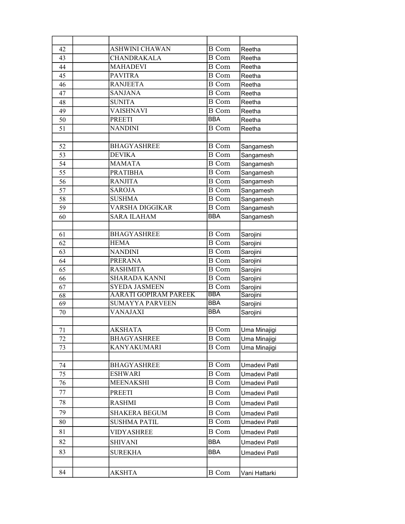| 42 | ASHWINI CHAWAN               | <b>B</b> Com       | Reetha        |
|----|------------------------------|--------------------|---------------|
| 43 | CHANDRAKALA                  | <b>B</b> Com       | Reetha        |
| 44 | <b>MAHADEVI</b>              | <b>B</b> Com       | Reetha        |
| 45 | <b>PAVITRA</b>               | <b>B</b> Com       | Reetha        |
| 46 | <b>RANJEETA</b>              | <b>B</b> Com       | Reetha        |
| 47 | <b>SANJANA</b>               | $\overline{B}$ Com | Reetha        |
| 48 | <b>SUNITA</b>                | <b>B</b> Com       | Reetha        |
| 49 | <b>VAISHNAVI</b>             | <b>B</b> Com       | Reetha        |
| 50 | <b>PREETI</b>                | <b>BBA</b>         | Reetha        |
| 51 | <b>NANDINI</b>               | <b>B</b> Com       | Reetha        |
|    |                              |                    |               |
| 52 | <b>BHAGYASHREE</b>           | <b>B</b> Com       | Sangamesh     |
| 53 | <b>DEVIKA</b>                | <b>B</b> Com       | Sangamesh     |
| 54 | <b>MAMATA</b>                | <b>B</b> Com       | Sangamesh     |
| 55 | <b>PRATIBHA</b>              | <b>B</b> Com       | Sangamesh     |
| 56 | <b>RANJITA</b>               | <b>B</b> Com       | Sangamesh     |
| 57 | <b>SAROJA</b>                | <b>B</b> Com       | Sangamesh     |
| 58 | <b>SUSHMA</b>                | <b>B</b> Com       | Sangamesh     |
| 59 | VARSHA DIGGIKAR              | <b>B</b> Com       | Sangamesh     |
| 60 | <b>SARA ILAHAM</b>           | <b>BBA</b>         | Sangamesh     |
|    |                              |                    |               |
| 61 | <b>BHAGYASHREE</b>           | <b>B</b> Com       | Sarojini      |
| 62 | <b>HEMA</b>                  | <b>B</b> Com       | Sarojini      |
| 63 | <b>NANDINI</b>               | <b>B</b> Com       | Sarojini      |
| 64 | <b>PRERANA</b>               | <b>B</b> Com       | Sarojini      |
| 65 | <b>RASHMITA</b>              | <b>B</b> Com       | Sarojini      |
| 66 | <b>SHARADA KANNI</b>         | <b>B</b> Com       | Sarojini      |
| 67 | <b>SYEDA JASMEEN</b>         | <b>B</b> Com       | Sarojini      |
| 68 | <b>AARATI GOPIRAM PAREEK</b> | <b>BBA</b>         | Sarojini      |
| 69 | <b>SUMAYYA PARVEEN</b>       | <b>BBA</b>         | Sarojini      |
| 70 | VANAJAXI                     | <b>BBA</b>         | Sarojini      |
|    |                              |                    |               |
| 71 | <b>AKSHATA</b>               | <b>B</b> Com       | Uma Minajigi  |
| 72 | <b>BHAGYASHREE</b>           | B Com              | Uma Minajigi  |
| 73 | KANYAKUMARI                  | <b>B</b> Com       | Uma Minajigi  |
|    |                              |                    |               |
| 74 | <b>BHAGYASHREE</b>           | <b>B</b> Com       | Umadevi Patil |
| 75 | <b>ESHWARI</b>               | <b>B</b> Com       | Umadevi Patil |
| 76 | <b>MEENAKSHI</b>             | B Com              | Umadevi Patil |
| 77 | <b>PREETI</b>                | $\, {\bf B}$ Com   | Umadevi Patil |
| 78 | <b>RASHMI</b>                | <b>B</b> Com       | Umadevi Patil |
| 79 | <b>SHAKERA BEGUM</b>         | <b>B</b> Com       | Umadevi Patil |
| 80 | <b>SUSHMA PATIL</b>          | B Com              | Umadevi Patil |
| 81 | VIDYASHREE                   | <b>B</b> Com       | Umadevi Patil |
| 82 | <b>SHIVANI</b>               | <b>BBA</b>         | Umadevi Patil |
|    |                              |                    |               |
| 83 | <b>SUREKHA</b>               | <b>BBA</b>         | Umadevi Patil |
|    |                              |                    |               |
| 84 | AKSHTA                       | B Com              | Vani Hattarki |